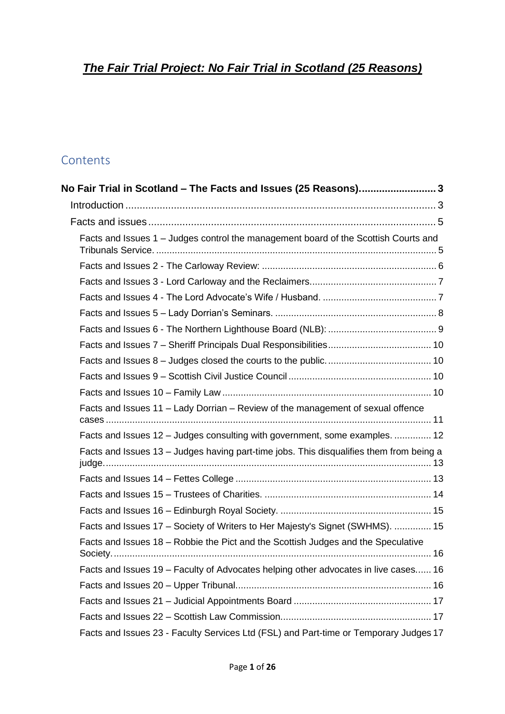# *The Fair Trial Project: No Fair Trial in Scotland (25 Reasons)*

# **Contents**

| No Fair Trial in Scotland - The Facts and Issues (25 Reasons) 3                         |  |
|-----------------------------------------------------------------------------------------|--|
|                                                                                         |  |
|                                                                                         |  |
| Facts and Issues 1 - Judges control the management board of the Scottish Courts and     |  |
|                                                                                         |  |
|                                                                                         |  |
|                                                                                         |  |
|                                                                                         |  |
|                                                                                         |  |
|                                                                                         |  |
|                                                                                         |  |
|                                                                                         |  |
|                                                                                         |  |
| Facts and Issues 11 - Lady Dorrian - Review of the management of sexual offence         |  |
| Facts and Issues 12 - Judges consulting with government, some examples.  12             |  |
| Facts and Issues 13 - Judges having part-time jobs. This disqualifies them from being a |  |
|                                                                                         |  |
|                                                                                         |  |
|                                                                                         |  |
| Facts and Issues 17 - Society of Writers to Her Majesty's Signet (SWHMS).  15           |  |
| Facts and Issues 18 - Robbie the Pict and the Scottish Judges and the Speculative       |  |
| Facts and Issues 19 – Faculty of Advocates helping other advocates in live cases 16     |  |
|                                                                                         |  |
|                                                                                         |  |
|                                                                                         |  |
| Facts and Issues 23 - Faculty Services Ltd (FSL) and Part-time or Temporary Judges 17   |  |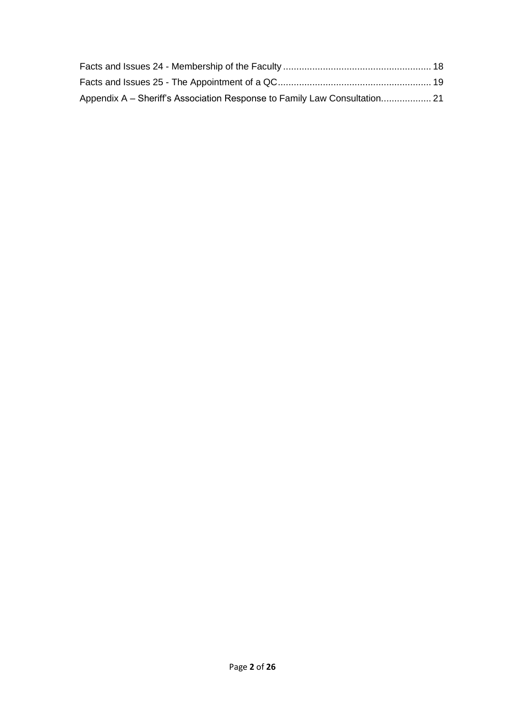| Appendix A – Sheriff's Association Response to Family Law Consultation 21 |  |
|---------------------------------------------------------------------------|--|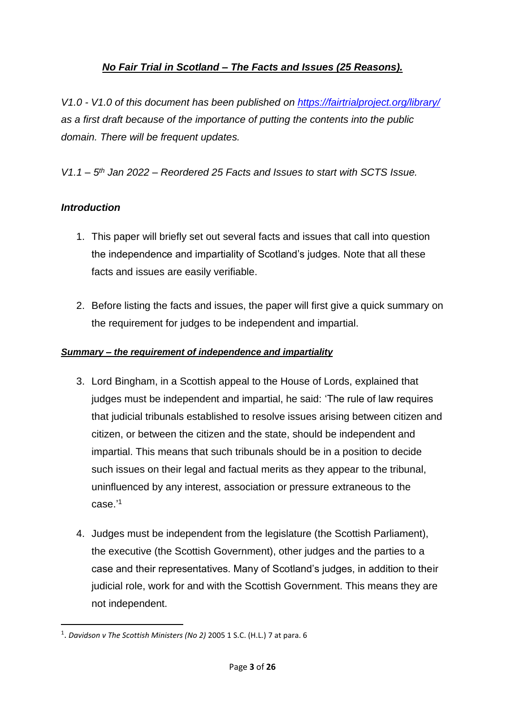# *No Fair Trial in Scotland – The Facts and Issues (25 Reasons).*

<span id="page-2-0"></span>*V1.0 - V1.0 of this document has been published on<https://fairtrialproject.org/library/> as a first draft because of the importance of putting the contents into the public domain. There will be frequent updates.*

*V1.1 – 5 th Jan 2022 – Reordered 25 Facts and Issues to start with SCTS Issue.*

## <span id="page-2-1"></span>*Introduction*

- 1. This paper will briefly set out several facts and issues that call into question the independence and impartiality of Scotland's judges. Note that all these facts and issues are easily verifiable.
- 2. Before listing the facts and issues, the paper will first give a quick summary on the requirement for judges to be independent and impartial.

#### *Summary – the requirement of independence and impartiality*

- 3. Lord Bingham, in a Scottish appeal to the House of Lords, explained that judges must be independent and impartial, he said: 'The rule of law requires that judicial tribunals established to resolve issues arising between citizen and citizen, or between the citizen and the state, should be independent and impartial. This means that such tribunals should be in a position to decide such issues on their legal and factual merits as they appear to the tribunal, uninfluenced by any interest, association or pressure extraneous to the case.' 1
- 4. Judges must be independent from the legislature (the Scottish Parliament), the executive (the Scottish Government), other judges and the parties to a case and their representatives. Many of Scotland's judges, in addition to their judicial role, work for and with the Scottish Government. This means they are not independent.

<sup>1</sup> . *Davidson v The Scottish Ministers (No 2)* 2005 1 S.C. (H.L.) 7 at para. 6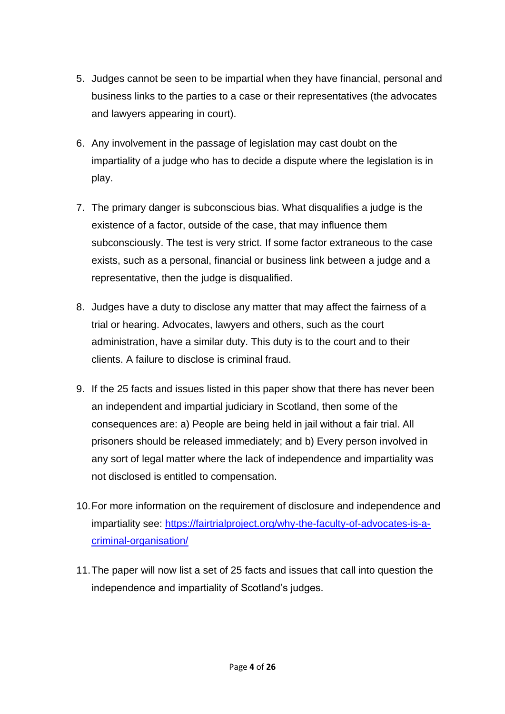- 5. Judges cannot be seen to be impartial when they have financial, personal and business links to the parties to a case or their representatives (the advocates and lawyers appearing in court).
- 6. Any involvement in the passage of legislation may cast doubt on the impartiality of a judge who has to decide a dispute where the legislation is in play.
- 7. The primary danger is subconscious bias. What disqualifies a judge is the existence of a factor, outside of the case, that may influence them subconsciously. The test is very strict. If some factor extraneous to the case exists, such as a personal, financial or business link between a judge and a representative, then the judge is disqualified.
- 8. Judges have a duty to disclose any matter that may affect the fairness of a trial or hearing. Advocates, lawyers and others, such as the court administration, have a similar duty. This duty is to the court and to their clients. A failure to disclose is criminal fraud.
- 9. If the 25 facts and issues listed in this paper show that there has never been an independent and impartial judiciary in Scotland, then some of the consequences are: a) People are being held in jail without a fair trial. All prisoners should be released immediately; and b) Every person involved in any sort of legal matter where the lack of independence and impartiality was not disclosed is entitled to compensation.
- 10.For more information on the requirement of disclosure and independence and impartiality see: [https://fairtrialproject.org/why-the-faculty-of-advocates-is-a](https://fairtrialproject.org/why-the-faculty-of-advocates-is-a-criminal-organisation/)[criminal-organisation/](https://fairtrialproject.org/why-the-faculty-of-advocates-is-a-criminal-organisation/)
- 11.The paper will now list a set of 25 facts and issues that call into question the independence and impartiality of Scotland's judges.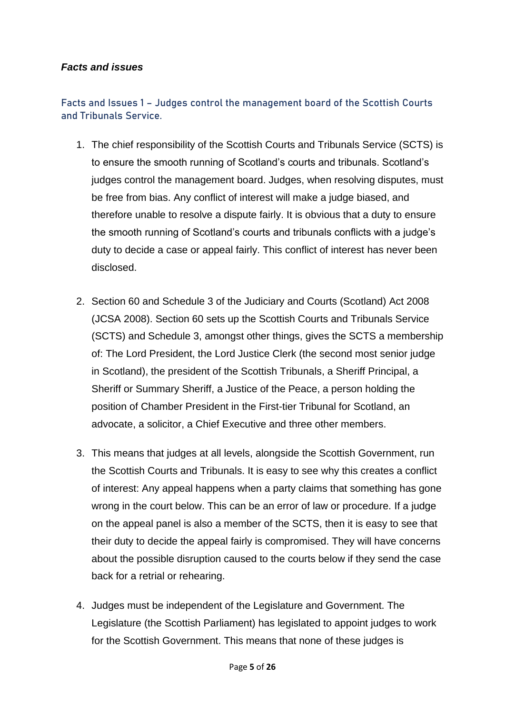### <span id="page-4-0"></span>*Facts and issues*

# <span id="page-4-1"></span>**Facts and Issues 1 – Judges control the management board of the Scottish Courts and Tribunals Service.**

- 1. The chief responsibility of the Scottish Courts and Tribunals Service (SCTS) is to ensure the smooth running of Scotland's courts and tribunals. Scotland's judges control the management board. Judges, when resolving disputes, must be free from bias. Any conflict of interest will make a judge biased, and therefore unable to resolve a dispute fairly. It is obvious that a duty to ensure the smooth running of Scotland's courts and tribunals conflicts with a judge's duty to decide a case or appeal fairly. This conflict of interest has never been disclosed.
- 2. Section 60 and Schedule 3 of the Judiciary and Courts (Scotland) Act 2008 (JCSA 2008). Section 60 sets up the Scottish Courts and Tribunals Service (SCTS) and Schedule 3, amongst other things, gives the SCTS a membership of: The Lord President, the Lord Justice Clerk (the second most senior judge in Scotland), the president of the Scottish Tribunals, a Sheriff Principal, a Sheriff or Summary Sheriff, a Justice of the Peace, a person holding the position of Chamber President in the First-tier Tribunal for Scotland, an advocate, a solicitor, a Chief Executive and three other members.
- 3. This means that judges at all levels, alongside the Scottish Government, run the Scottish Courts and Tribunals. It is easy to see why this creates a conflict of interest: Any appeal happens when a party claims that something has gone wrong in the court below. This can be an error of law or procedure. If a judge on the appeal panel is also a member of the SCTS, then it is easy to see that their duty to decide the appeal fairly is compromised. They will have concerns about the possible disruption caused to the courts below if they send the case back for a retrial or rehearing.
- 4. Judges must be independent of the Legislature and Government. The Legislature (the Scottish Parliament) has legislated to appoint judges to work for the Scottish Government. This means that none of these judges is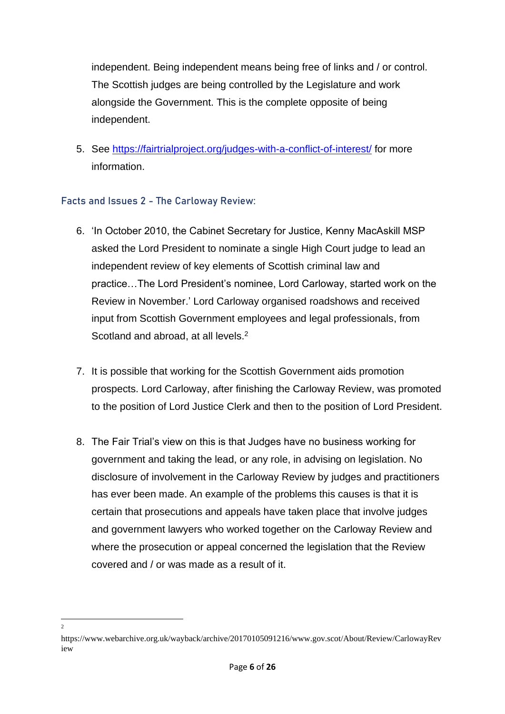independent. Being independent means being free of links and / or control. The Scottish judges are being controlled by the Legislature and work alongside the Government. This is the complete opposite of being independent.

5. See<https://fairtrialproject.org/judges-with-a-conflict-of-interest/> for more information.

#### <span id="page-5-0"></span>**Facts and Issues 2 - The Carloway Review:**

- 6. 'In October 2010, the Cabinet Secretary for Justice, Kenny MacAskill MSP asked the Lord President to nominate a single High Court judge to lead an independent review of key elements of Scottish criminal law and practice…The Lord President's nominee, Lord Carloway, started work on the Review in November.' Lord Carloway organised roadshows and received input from Scottish Government employees and legal professionals, from Scotland and abroad, at all levels.<sup>2</sup>
- 7. It is possible that working for the Scottish Government aids promotion prospects. Lord Carloway, after finishing the Carloway Review, was promoted to the position of Lord Justice Clerk and then to the position of Lord President.
- 8. The Fair Trial's view on this is that Judges have no business working for government and taking the lead, or any role, in advising on legislation. No disclosure of involvement in the Carloway Review by judges and practitioners has ever been made. An example of the problems this causes is that it is certain that prosecutions and appeals have taken place that involve judges and government lawyers who worked together on the Carloway Review and where the prosecution or appeal concerned the legislation that the Review covered and / or was made as a result of it.

<sup>2</sup>

https://www.webarchive.org.uk/wayback/archive/20170105091216/www.gov.scot/About/Review/CarlowayRev iew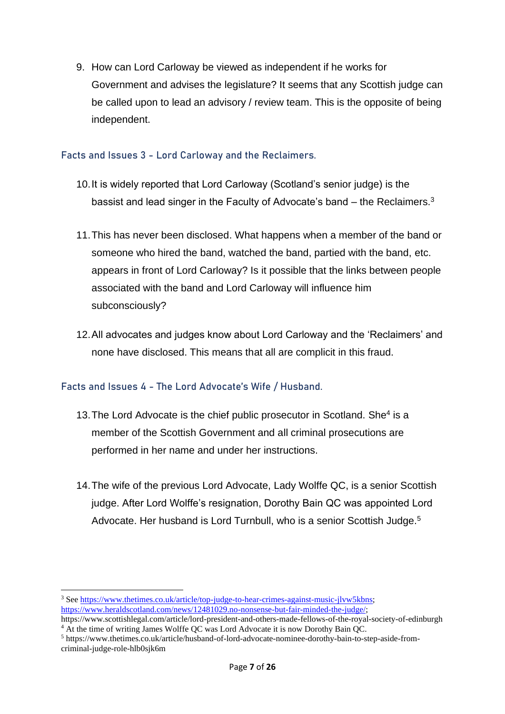9. How can Lord Carloway be viewed as independent if he works for Government and advises the legislature? It seems that any Scottish judge can be called upon to lead an advisory / review team. This is the opposite of being independent.

### <span id="page-6-0"></span>**Facts and Issues 3 - Lord Carloway and the Reclaimers.**

- 10.It is widely reported that Lord Carloway (Scotland's senior judge) is the bassist and lead singer in the Faculty of Advocate's band  $-$  the Reclaimers.<sup>3</sup>
- 11.This has never been disclosed. What happens when a member of the band or someone who hired the band, watched the band, partied with the band, etc. appears in front of Lord Carloway? Is it possible that the links between people associated with the band and Lord Carloway will influence him subconsciously?
- 12.All advocates and judges know about Lord Carloway and the 'Reclaimers' and none have disclosed. This means that all are complicit in this fraud.

## <span id="page-6-1"></span>**Facts and Issues 4 - The Lord Advocate's Wife / Husband.**

- 13. The Lord Advocate is the chief public prosecutor in Scotland. She<sup>4</sup> is a member of the Scottish Government and all criminal prosecutions are performed in her name and under her instructions.
- 14.The wife of the previous Lord Advocate, Lady Wolffe QC, is a senior Scottish judge. After Lord Wolffe's resignation, Dorothy Bain QC was appointed Lord Advocate. Her husband is Lord Turnbull, who is a senior Scottish Judge.<sup>5</sup>

<sup>&</sup>lt;sup>3</sup> Se[e https://www.thetimes.co.uk/article/top-judge-to-hear-crimes-against-music-jlvw5kbns;](https://www.thetimes.co.uk/article/top-judge-to-hear-crimes-against-music-jlvw5kbns) [https://www.heraldscotland.com/news/12481029.no-nonsense-but-fair-minded-the-judge/;](https://www.heraldscotland.com/news/12481029.no-nonsense-but-fair-minded-the-judge/) https://www.scottishlegal.com/article/lord-president-and-others-made-fellows-of-the-royal-society-of-edinburgh

<sup>4</sup> At the time of writing James Wolffe QC was Lord Advocate it is now Dorothy Bain QC.

<sup>5</sup> https://www.thetimes.co.uk/article/husband-of-lord-advocate-nominee-dorothy-bain-to-step-aside-fromcriminal-judge-role-hlb0sjk6m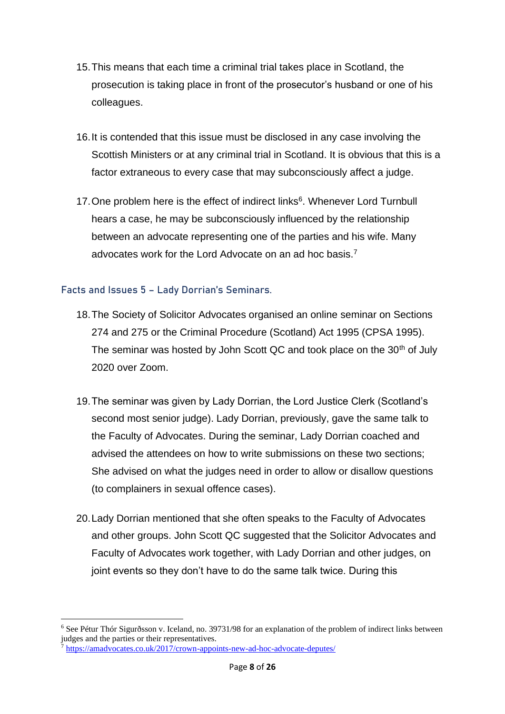- 15.This means that each time a criminal trial takes place in Scotland, the prosecution is taking place in front of the prosecutor's husband or one of his colleagues.
- 16.It is contended that this issue must be disclosed in any case involving the Scottish Ministers or at any criminal trial in Scotland. It is obvious that this is a factor extraneous to every case that may subconsciously affect a judge.
- 17. One problem here is the effect of indirect links<sup>6</sup>. Whenever Lord Turnbull hears a case, he may be subconsciously influenced by the relationship between an advocate representing one of the parties and his wife. Many advocates work for the Lord Advocate on an ad hoc basis.<sup>7</sup>

## <span id="page-7-0"></span>**Facts and Issues 5 – Lady Dorrian's Seminars.**

- 18.The Society of Solicitor Advocates organised an online seminar on Sections 274 and 275 or the Criminal Procedure (Scotland) Act 1995 (CPSA 1995). The seminar was hosted by John Scott QC and took place on the 30<sup>th</sup> of July 2020 over Zoom.
- 19.The seminar was given by Lady Dorrian, the Lord Justice Clerk (Scotland's second most senior judge). Lady Dorrian, previously, gave the same talk to the Faculty of Advocates. During the seminar, Lady Dorrian coached and advised the attendees on how to write submissions on these two sections; She advised on what the judges need in order to allow or disallow questions (to complainers in sexual offence cases).
- 20.Lady Dorrian mentioned that she often speaks to the Faculty of Advocates and other groups. John Scott QC suggested that the Solicitor Advocates and Faculty of Advocates work together, with Lady Dorrian and other judges, on joint events so they don't have to do the same talk twice. During this

<sup>6</sup> See Pétur Thór Sigurðsson v. Iceland, no. 39731/98 for an explanation of the problem of indirect links between judges and the parties or their representatives.

<sup>7</sup> <https://amadvocates.co.uk/2017/crown-appoints-new-ad-hoc-advocate-deputes/>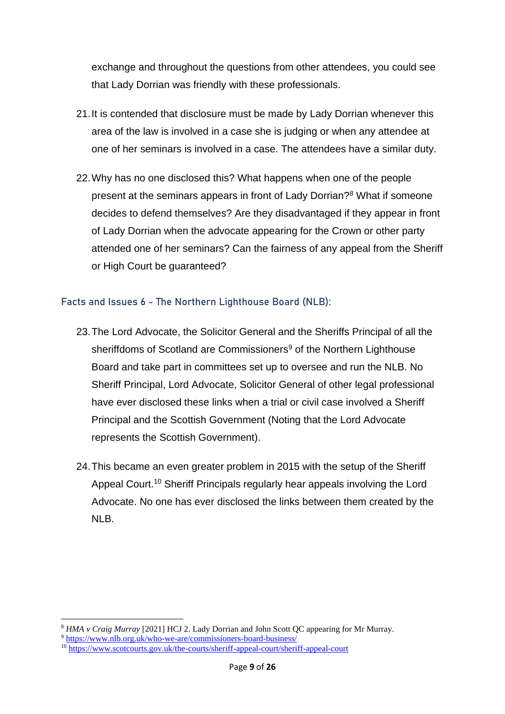exchange and throughout the questions from other attendees, you could see that Lady Dorrian was friendly with these professionals.

- 21.It is contended that disclosure must be made by Lady Dorrian whenever this area of the law is involved in a case she is judging or when any attendee at one of her seminars is involved in a case. The attendees have a similar duty.
- 22.Why has no one disclosed this? What happens when one of the people present at the seminars appears in front of Lady Dorrian?<sup>8</sup> What if someone decides to defend themselves? Are they disadvantaged if they appear in front of Lady Dorrian when the advocate appearing for the Crown or other party attended one of her seminars? Can the fairness of any appeal from the Sheriff or High Court be guaranteed?

#### <span id="page-8-0"></span>**Facts and Issues 6 - The Northern Lighthouse Board (NLB):**

- 23.The Lord Advocate, the Solicitor General and the Sheriffs Principal of all the sheriffdoms of Scotland are Commissioners<sup>9</sup> of the Northern Lighthouse Board and take part in committees set up to oversee and run the NLB. No Sheriff Principal, Lord Advocate, Solicitor General of other legal professional have ever disclosed these links when a trial or civil case involved a Sheriff Principal and the Scottish Government (Noting that the Lord Advocate represents the Scottish Government).
- 24.This became an even greater problem in 2015 with the setup of the Sheriff Appeal Court.<sup>10</sup> Sheriff Principals regularly hear appeals involving the Lord Advocate. No one has ever disclosed the links between them created by the NLB.

<sup>8</sup> *HMA v Craig Murray* [2021] HCJ 2. Lady Dorrian and John Scott QC appearing for Mr Murray.

<sup>9</sup> <https://www.nlb.org.uk/who-we-are/commissioners-board-business/>

<sup>&</sup>lt;sup>10</sup> https://www.scotcourts.gov.uk/the-<u>courts/sheriff-appeal-court/sheriff-appeal-court</u>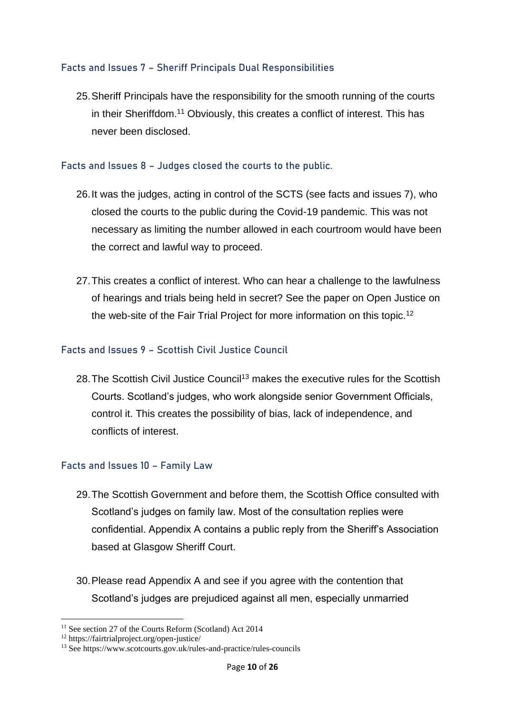## <span id="page-9-0"></span>**Facts and Issues 7 – Sheriff Principals Dual Responsibilities**

25.Sheriff Principals have the responsibility for the smooth running of the courts in their Sheriffdom.<sup>11</sup> Obviously, this creates a conflict of interest. This has never been disclosed.

#### <span id="page-9-1"></span>**Facts and Issues 8 – Judges closed the courts to the public.**

- 26.It was the judges, acting in control of the SCTS (see facts and issues 7), who closed the courts to the public during the Covid-19 pandemic. This was not necessary as limiting the number allowed in each courtroom would have been the correct and lawful way to proceed.
- 27.This creates a conflict of interest. Who can hear a challenge to the lawfulness of hearings and trials being held in secret? See the paper on Open Justice on the web-site of the Fair Trial Project for more information on this topic.<sup>12</sup>

#### <span id="page-9-2"></span>**Facts and Issues 9 – Scottish Civil Justice Council**

28. The Scottish Civil Justice Council<sup>13</sup> makes the executive rules for the Scottish Courts. Scotland's judges, who work alongside senior Government Officials, control it. This creates the possibility of bias, lack of independence, and conflicts of interest.

#### <span id="page-9-3"></span>**Facts and Issues 10 – Family Law**

- 29.The Scottish Government and before them, the Scottish Office consulted with Scotland's judges on family law. Most of the consultation replies were confidential. Appendix A contains a public reply from the Sheriff's Association based at Glasgow Sheriff Court.
- 30.Please read Appendix A and see if you agree with the contention that Scotland's judges are prejudiced against all men, especially unmarried

<sup>&</sup>lt;sup>11</sup> See section 27 of the Courts Reform (Scotland) Act 2014

<sup>12</sup> https://fairtrialproject.org/open-justice/

<sup>&</sup>lt;sup>13</sup> See https://www.scotcourts.gov.uk/rules-and-practice/rules-councils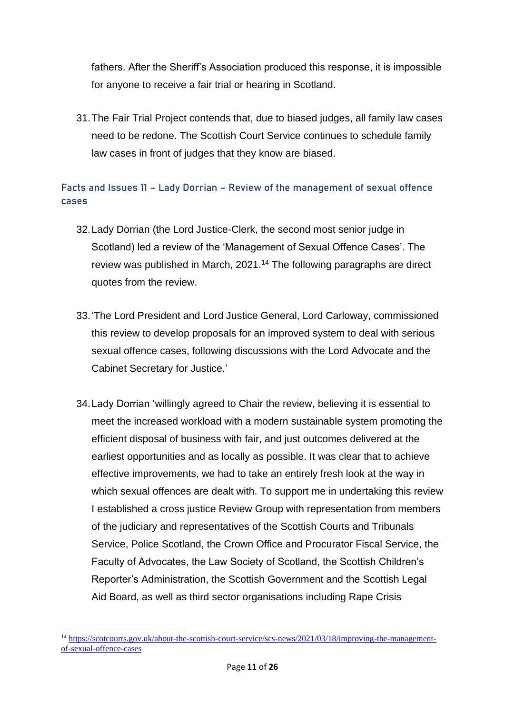fathers. After the Sheriff's Association produced this response, it is impossible for anyone to receive a fair trial or hearing in Scotland.

31.The Fair Trial Project contends that, due to biased judges, all family law cases need to be redone. The Scottish Court Service continues to schedule family law cases in front of judges that they know are biased.

# <span id="page-10-0"></span>**Facts and Issues 11 – Lady Dorrian – Review of the management of sexual offence cases**

- 32.Lady Dorrian (the Lord Justice-Clerk, the second most senior judge in Scotland) led a review of the 'Management of Sexual Offence Cases'. The review was published in March, 2021.<sup>14</sup> The following paragraphs are direct quotes from the review.
- 33.'The Lord President and Lord Justice General, Lord Carloway, commissioned this review to develop proposals for an improved system to deal with serious sexual offence cases, following discussions with the Lord Advocate and the Cabinet Secretary for Justice.'
- 34.Lady Dorrian 'willingly agreed to Chair the review, believing it is essential to meet the increased workload with a modern sustainable system promoting the efficient disposal of business with fair, and just outcomes delivered at the earliest opportunities and as locally as possible. It was clear that to achieve effective improvements, we had to take an entirely fresh look at the way in which sexual offences are dealt with. To support me in undertaking this review I established a cross justice Review Group with representation from members of the judiciary and representatives of the Scottish Courts and Tribunals Service, Police Scotland, the Crown Office and Procurator Fiscal Service, the Faculty of Advocates, the Law Society of Scotland, the Scottish Children's Reporter's Administration, the Scottish Government and the Scottish Legal Aid Board, as well as third sector organisations including Rape Crisis

<sup>14</sup> [https://scotcourts.gov.uk/about-the-scottish-court-service/scs-news/2021/03/18/improving-the-management](https://scotcourts.gov.uk/about-the-scottish-court-service/scs-news/2021/03/18/improving-the-management-of-sexual-offence-cases)[of-sexual-offence-cases](https://scotcourts.gov.uk/about-the-scottish-court-service/scs-news/2021/03/18/improving-the-management-of-sexual-offence-cases)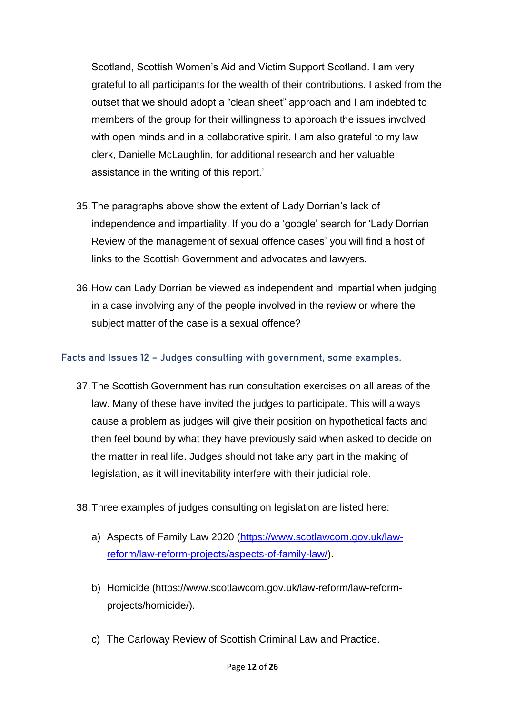Scotland, Scottish Women's Aid and Victim Support Scotland. I am very grateful to all participants for the wealth of their contributions. I asked from the outset that we should adopt a "clean sheet" approach and I am indebted to members of the group for their willingness to approach the issues involved with open minds and in a collaborative spirit. I am also grateful to my law clerk, Danielle McLaughlin, for additional research and her valuable assistance in the writing of this report.'

- 35.The paragraphs above show the extent of Lady Dorrian's lack of independence and impartiality. If you do a 'google' search for 'Lady Dorrian Review of the management of sexual offence cases' you will find a host of links to the Scottish Government and advocates and lawyers.
- 36.How can Lady Dorrian be viewed as independent and impartial when judging in a case involving any of the people involved in the review or where the subject matter of the case is a sexual offence?

#### <span id="page-11-0"></span>**Facts and Issues 12 – Judges consulting with government, some examples.**

- 37.The Scottish Government has run consultation exercises on all areas of the law. Many of these have invited the judges to participate. This will always cause a problem as judges will give their position on hypothetical facts and then feel bound by what they have previously said when asked to decide on the matter in real life. Judges should not take any part in the making of legislation, as it will inevitability interfere with their judicial role.
- 38.Three examples of judges consulting on legislation are listed here:
	- a) Aspects of Family Law 2020 [\(https://www.scotlawcom.gov.uk/law](https://www.scotlawcom.gov.uk/law-reform/law-reform-projects/aspects-of-family-law/)[reform/law-reform-projects/aspects-of-family-law/\)](https://www.scotlawcom.gov.uk/law-reform/law-reform-projects/aspects-of-family-law/).
	- b) Homicide (https://www.scotlawcom.gov.uk/law-reform/law-reformprojects/homicide/).
	- c) The Carloway Review of Scottish Criminal Law and Practice.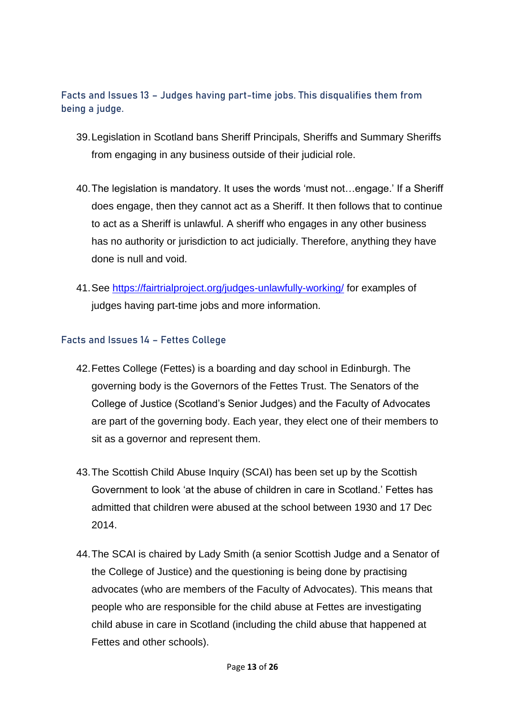## <span id="page-12-0"></span>**Facts and Issues 13 – Judges having part-time jobs. This disqualifies them from being a judge.**

- 39.Legislation in Scotland bans Sheriff Principals, Sheriffs and Summary Sheriffs from engaging in any business outside of their judicial role.
- 40.The legislation is mandatory. It uses the words 'must not…engage.' If a Sheriff does engage, then they cannot act as a Sheriff. It then follows that to continue to act as a Sheriff is unlawful. A sheriff who engages in any other business has no authority or jurisdiction to act judicially. Therefore, anything they have done is null and void.
- 41.See<https://fairtrialproject.org/judges-unlawfully-working/> for examples of judges having part-time jobs and more information.

#### <span id="page-12-1"></span>**Facts and Issues 14 – Fettes College**

- 42.Fettes College (Fettes) is a boarding and day school in Edinburgh. The governing body is the Governors of the Fettes Trust. The Senators of the College of Justice (Scotland's Senior Judges) and the Faculty of Advocates are part of the governing body. Each year, they elect one of their members to sit as a governor and represent them.
- 43.The Scottish Child Abuse Inquiry (SCAI) has been set up by the Scottish Government to look 'at the abuse of children in care in Scotland.' Fettes has admitted that children were abused at the school between 1930 and 17 Dec 2014.
- 44.The SCAI is chaired by Lady Smith (a senior Scottish Judge and a Senator of the College of Justice) and the questioning is being done by practising advocates (who are members of the Faculty of Advocates). This means that people who are responsible for the child abuse at Fettes are investigating child abuse in care in Scotland (including the child abuse that happened at Fettes and other schools).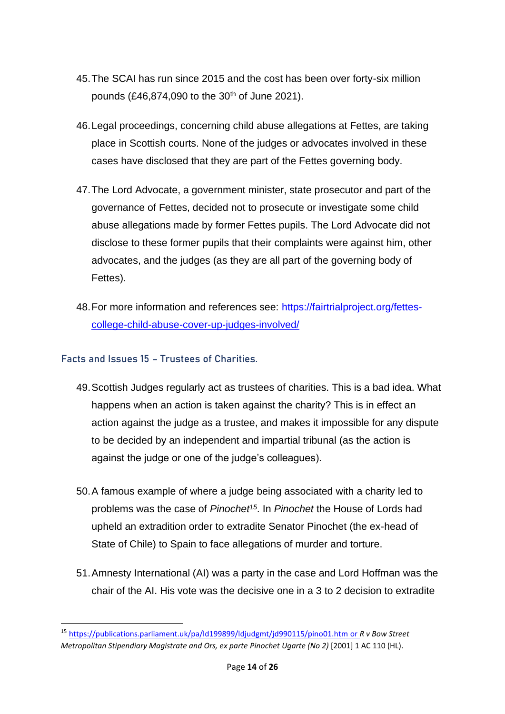- 45.The SCAI has run since 2015 and the cost has been over forty-six million pounds (£46,874,090 to the  $30<sup>th</sup>$  of June 2021).
- 46.Legal proceedings, concerning child abuse allegations at Fettes, are taking place in Scottish courts. None of the judges or advocates involved in these cases have disclosed that they are part of the Fettes governing body.
- 47.The Lord Advocate, a government minister, state prosecutor and part of the governance of Fettes, decided not to prosecute or investigate some child abuse allegations made by former Fettes pupils. The Lord Advocate did not disclose to these former pupils that their complaints were against him, other advocates, and the judges (as they are all part of the governing body of Fettes).
- 48.For more information and references see: [https://fairtrialproject.org/fettes](https://fairtrialproject.org/fettes-college-child-abuse-cover-up-judges-involved/)[college-child-abuse-cover-up-judges-involved/](https://fairtrialproject.org/fettes-college-child-abuse-cover-up-judges-involved/)

### <span id="page-13-0"></span>**Facts and Issues 15 – Trustees of Charities.**

- 49.Scottish Judges regularly act as trustees of charities. This is a bad idea. What happens when an action is taken against the charity? This is in effect an action against the judge as a trustee, and makes it impossible for any dispute to be decided by an independent and impartial tribunal (as the action is against the judge or one of the judge's colleagues).
- 50.A famous example of where a judge being associated with a charity led to problems was the case of *Pinochet<sup>15</sup>*. In *Pinochet* the House of Lords had upheld an extradition order to extradite Senator Pinochet (the ex-head of State of Chile) to Spain to face allegations of murder and torture.
- 51.Amnesty International (AI) was a party in the case and Lord Hoffman was the chair of the AI. His vote was the decisive one in a 3 to 2 decision to extradite

<sup>15</sup> <https://publications.parliament.uk/pa/ld199899/ldjudgmt/jd990115/pino01.htm> or *R v Bow Street Metropolitan Stipendiary Magistrate and Ors, ex parte Pinochet Ugarte (No 2)* [2001] 1 AC 110 (HL).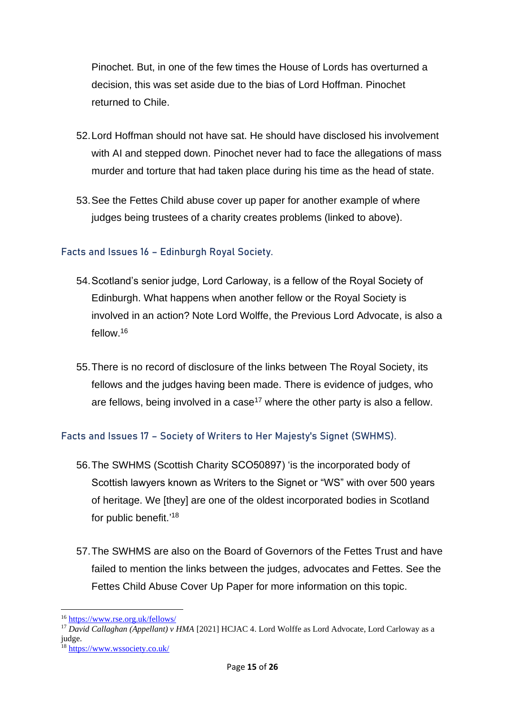Pinochet. But, in one of the few times the House of Lords has overturned a decision, this was set aside due to the bias of Lord Hoffman. Pinochet returned to Chile.

- 52.Lord Hoffman should not have sat. He should have disclosed his involvement with AI and stepped down. Pinochet never had to face the allegations of mass murder and torture that had taken place during his time as the head of state.
- 53.See the Fettes Child abuse cover up paper for another example of where judges being trustees of a charity creates problems (linked to above).

## <span id="page-14-0"></span>**Facts and Issues 16 – Edinburgh Royal Society.**

- 54.Scotland's senior judge, Lord Carloway, is a fellow of the Royal Society of Edinburgh. What happens when another fellow or the Royal Society is involved in an action? Note Lord Wolffe, the Previous Lord Advocate, is also a fellow.<sup>16</sup>
- 55.There is no record of disclosure of the links between The Royal Society, its fellows and the judges having been made. There is evidence of judges, who are fellows, being involved in a case<sup>17</sup> where the other party is also a fellow.

#### <span id="page-14-1"></span>**Facts and Issues 17 – Society of Writers to Her Majesty's Signet (SWHMS).**

- 56.The SWHMS (Scottish Charity SCO50897) 'is the incorporated body of Scottish lawyers known as Writers to the Signet or "WS" with over 500 years of heritage. We [they] are one of the oldest incorporated bodies in Scotland for public benefit.'<sup>18</sup>
- 57.The SWHMS are also on the Board of Governors of the Fettes Trust and have failed to mention the links between the judges, advocates and Fettes. See the Fettes Child Abuse Cover Up Paper for more information on this topic.

<sup>16</sup> <https://www.rse.org.uk/fellows/>

<sup>&</sup>lt;sup>17</sup> David Callaghan (Appellant) v HMA [2021] HCJAC 4. Lord Wolffe as Lord Advocate, Lord Carloway as a judge.

<sup>18</sup> <https://www.wssociety.co.uk/>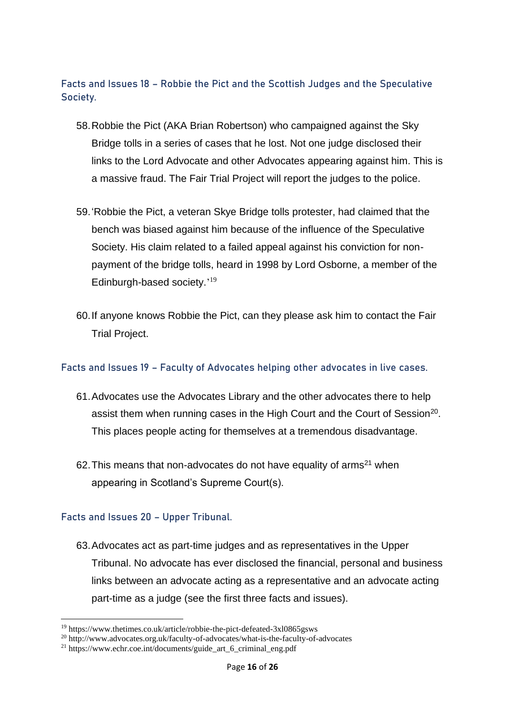<span id="page-15-0"></span>**Facts and Issues 18 – Robbie the Pict and the Scottish Judges and the Speculative Society.**

- 58.Robbie the Pict (AKA Brian Robertson) who campaigned against the Sky Bridge tolls in a series of cases that he lost. Not one judge disclosed their links to the Lord Advocate and other Advocates appearing against him. This is a massive fraud. The Fair Trial Project will report the judges to the police.
- 59.'Robbie the Pict, a veteran Skye Bridge tolls protester, had claimed that the bench was biased against him because of the influence of the Speculative Society. His claim related to a failed appeal against his conviction for nonpayment of the bridge tolls, heard in 1998 by Lord Osborne, a member of the Edinburgh-based society.'<sup>19</sup>
- 60.If anyone knows Robbie the Pict, can they please ask him to contact the Fair Trial Project.

#### <span id="page-15-1"></span>**Facts and Issues 19 – Faculty of Advocates helping other advocates in live cases.**

- 61.Advocates use the Advocates Library and the other advocates there to help assist them when running cases in the High Court and the Court of Session<sup>20</sup>. This places people acting for themselves at a tremendous disadvantage.
- 62. This means that non-advocates do not have equality of  $\alpha$ rms<sup>21</sup> when appearing in Scotland's Supreme Court(s).

#### <span id="page-15-2"></span>**Facts and Issues 20 – Upper Tribunal.**

63.Advocates act as part-time judges and as representatives in the Upper Tribunal. No advocate has ever disclosed the financial, personal and business links between an advocate acting as a representative and an advocate acting part-time as a judge (see the first three facts and issues).

<sup>19</sup> https://www.thetimes.co.uk/article/robbie-the-pict-defeated-3xl0865gsws

<sup>20</sup> http://www.advocates.org.uk/faculty-of-advocates/what-is-the-faculty-of-advocates

<sup>21</sup> https://www.echr.coe.int/documents/guide\_art\_6\_criminal\_eng.pdf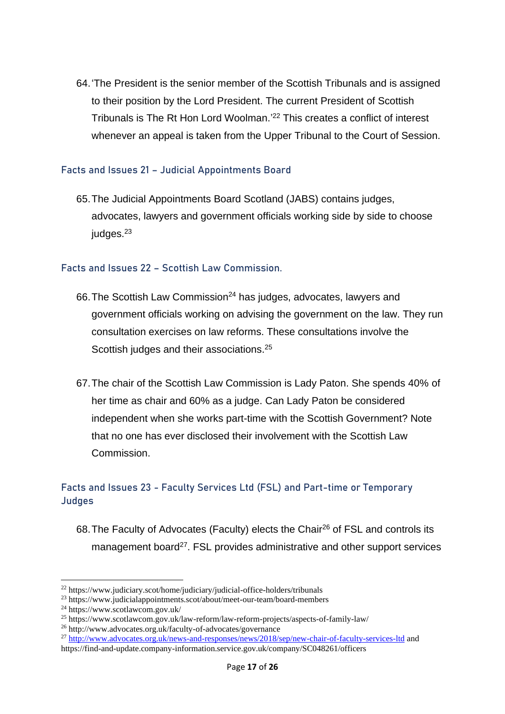64.'The President is the senior member of the Scottish Tribunals and is assigned to their position by the Lord President. The current President of Scottish Tribunals is The Rt Hon Lord Woolman.' <sup>22</sup> This creates a conflict of interest whenever an appeal is taken from the Upper Tribunal to the Court of Session.

#### <span id="page-16-0"></span>**Facts and Issues 21 – Judicial Appointments Board**

65.The Judicial Appointments Board Scotland (JABS) contains judges, advocates, lawyers and government officials working side by side to choose iudges. $23$ 

#### <span id="page-16-1"></span>**Facts and Issues 22 – Scottish Law Commission.**

- 66. The Scottish Law Commission<sup>24</sup> has judges, advocates, lawyers and government officials working on advising the government on the law. They run consultation exercises on law reforms. These consultations involve the Scottish judges and their associations.<sup>25</sup>
- 67.The chair of the Scottish Law Commission is Lady Paton. She spends 40% of her time as chair and 60% as a judge. Can Lady Paton be considered independent when she works part-time with the Scottish Government? Note that no one has ever disclosed their involvement with the Scottish Law Commission.

## <span id="page-16-2"></span>**Facts and Issues 23 - Faculty Services Ltd (FSL) and Part-time or Temporary Judges**

68. The Faculty of Advocates (Faculty) elects the Chair<sup>26</sup> of FSL and controls its management board<sup>27</sup>. FSL provides administrative and other support services

<sup>22</sup> https://www.judiciary.scot/home/judiciary/judicial-office-holders/tribunals

<sup>23</sup> https://www.judicialappointments.scot/about/meet-our-team/board-members

 $^{24}$  https://www.scotlawcom.gov.uk/

<sup>25</sup> https://www.scotlawcom.gov.uk/law-reform/law-reform-projects/aspects-of-family-law/

<sup>26</sup> http://www.advocates.org.uk/faculty-of-advocates/governance

<sup>&</sup>lt;sup>27</sup> <http://www.advocates.org.uk/news-and-responses/news/2018/sep/new-chair-of-faculty-services-ltd> and https://find-and-update.company-information.service.gov.uk/company/SC048261/officers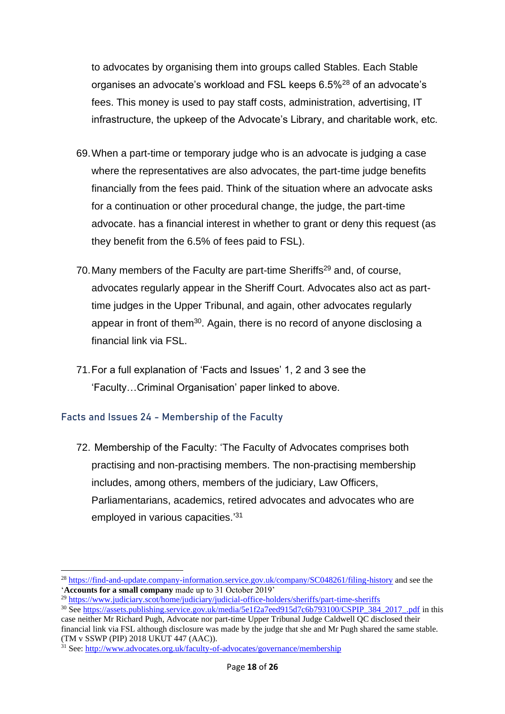to advocates by organising them into groups called Stables. Each Stable organises an advocate's workload and FSL keeps 6.5%<sup>28</sup> of an advocate's fees. This money is used to pay staff costs, administration, advertising, IT infrastructure, the upkeep of the Advocate's Library, and charitable work, etc.

- 69.When a part-time or temporary judge who is an advocate is judging a case where the representatives are also advocates, the part-time judge benefits financially from the fees paid. Think of the situation where an advocate asks for a continuation or other procedural change, the judge, the part-time advocate. has a financial interest in whether to grant or deny this request (as they benefit from the 6.5% of fees paid to FSL).
- 70. Many members of the Faculty are part-time Sheriffs<sup>29</sup> and, of course, advocates regularly appear in the Sheriff Court. Advocates also act as parttime judges in the Upper Tribunal, and again, other advocates regularly appear in front of them<sup>30</sup>. Again, there is no record of anyone disclosing a financial link via FSL.
- 71.For a full explanation of 'Facts and Issues' 1, 2 and 3 see the 'Faculty…Criminal Organisation' paper linked to above.

#### <span id="page-17-0"></span>**Facts and Issues 24 - Membership of the Faculty**

72. Membership of the Faculty: 'The Faculty of Advocates comprises both practising and non-practising members. The non-practising membership includes, among others, members of the judiciary, Law Officers, Parliamentarians, academics, retired advocates and advocates who are employed in various capacities.<sup>'31</sup>

<sup>&</sup>lt;sup>28</sup> <https://find-and-update.company-information.service.gov.uk/company/SC048261/filing-history> and see the '**Accounts for a small company** made up to 31 October 2019'

<sup>29</sup> <https://www.judiciary.scot/home/judiciary/judicial-office-holders/sheriffs/part-time-sheriffs>

<sup>&</sup>lt;sup>30</sup> See [https://assets.publishing.service.gov.uk/media/5e1f2a7eed915d7c6b793100/CSPIP\\_384\\_2017\\_.pdf](https://assets.publishing.service.gov.uk/media/5e1f2a7eed915d7c6b793100/CSPIP_384_2017_.pdf) in this case neither Mr Richard Pugh, Advocate nor part-time Upper Tribunal Judge Caldwell QC disclosed their

financial link via FSL although disclosure was made by the judge that she and Mr Pugh shared the same stable. (TM v SSWP (PIP) 2018 UKUT 447 (AAC)).

<sup>&</sup>lt;sup>31</sup> See[: http://www.advocates.org.uk/faculty-of-advocates/governance/membership](http://www.advocates.org.uk/faculty-of-advocates/governance/membership)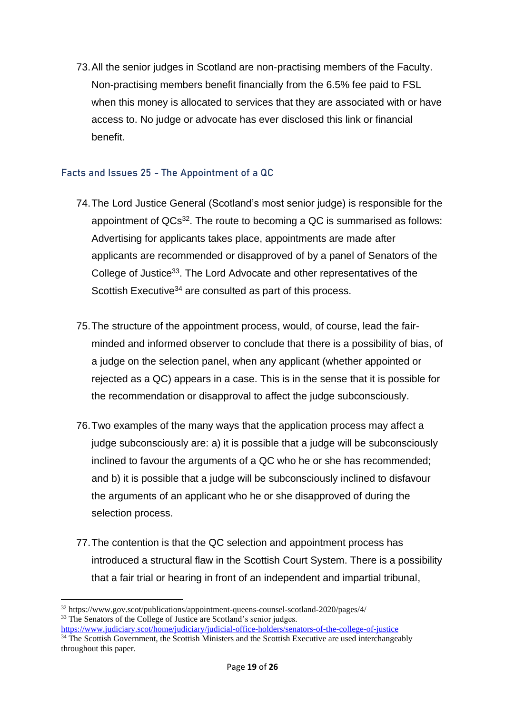73.All the senior judges in Scotland are non-practising members of the Faculty. Non-practising members benefit financially from the 6.5% fee paid to FSL when this money is allocated to services that they are associated with or have access to. No judge or advocate has ever disclosed this link or financial benefit.

#### <span id="page-18-0"></span>**Facts and Issues 25 - The Appointment of a QC**

- 74.The Lord Justice General (Scotland's most senior judge) is responsible for the appointment of QCs<sup>32</sup>. The route to becoming a QC is summarised as follows: Advertising for applicants takes place, appointments are made after applicants are recommended or disapproved of by a panel of Senators of the College of Justice<sup>33</sup>. The Lord Advocate and other representatives of the Scottish Executive<sup>34</sup> are consulted as part of this process.
- 75.The structure of the appointment process, would, of course, lead the fairminded and informed observer to conclude that there is a possibility of bias, of a judge on the selection panel, when any applicant (whether appointed or rejected as a QC) appears in a case. This is in the sense that it is possible for the recommendation or disapproval to affect the judge subconsciously.
- 76.Two examples of the many ways that the application process may affect a judge subconsciously are: a) it is possible that a judge will be subconsciously inclined to favour the arguments of a QC who he or she has recommended; and b) it is possible that a judge will be subconsciously inclined to disfavour the arguments of an applicant who he or she disapproved of during the selection process.
- 77.The contention is that the QC selection and appointment process has introduced a structural flaw in the Scottish Court System. There is a possibility that a fair trial or hearing in front of an independent and impartial tribunal,

<sup>32</sup> https://www.gov.scot/publications/appointment-queens-counsel-scotland-2020/pages/4/ <sup>33</sup> The Senators of the College of Justice are Scotland's senior judges.

<https://www.judiciary.scot/home/judiciary/judicial-office-holders/senators-of-the-college-of-justice> <sup>34</sup> The Scottish Government, the Scottish Ministers and the Scottish Executive are used interchangeably throughout this paper.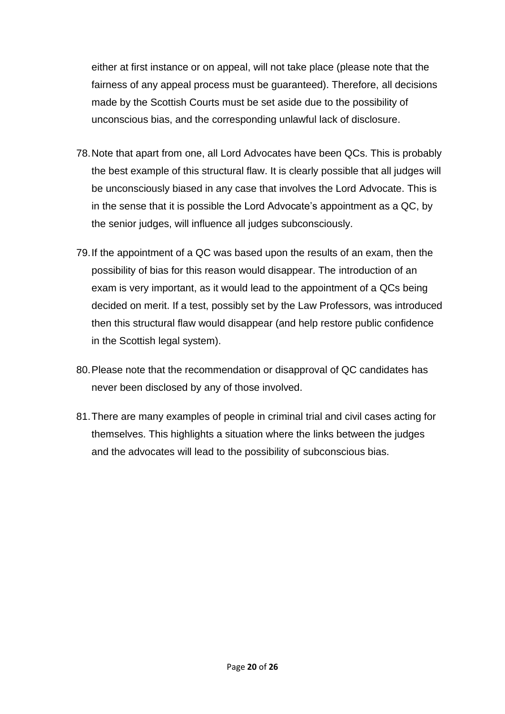either at first instance or on appeal, will not take place (please note that the fairness of any appeal process must be guaranteed). Therefore, all decisions made by the Scottish Courts must be set aside due to the possibility of unconscious bias, and the corresponding unlawful lack of disclosure.

- 78.Note that apart from one, all Lord Advocates have been QCs. This is probably the best example of this structural flaw. It is clearly possible that all judges will be unconsciously biased in any case that involves the Lord Advocate. This is in the sense that it is possible the Lord Advocate's appointment as a QC, by the senior judges, will influence all judges subconsciously.
- 79.If the appointment of a QC was based upon the results of an exam, then the possibility of bias for this reason would disappear. The introduction of an exam is very important, as it would lead to the appointment of a QCs being decided on merit. If a test, possibly set by the Law Professors, was introduced then this structural flaw would disappear (and help restore public confidence in the Scottish legal system).
- 80.Please note that the recommendation or disapproval of QC candidates has never been disclosed by any of those involved.
- 81.There are many examples of people in criminal trial and civil cases acting for themselves. This highlights a situation where the links between the judges and the advocates will lead to the possibility of subconscious bias.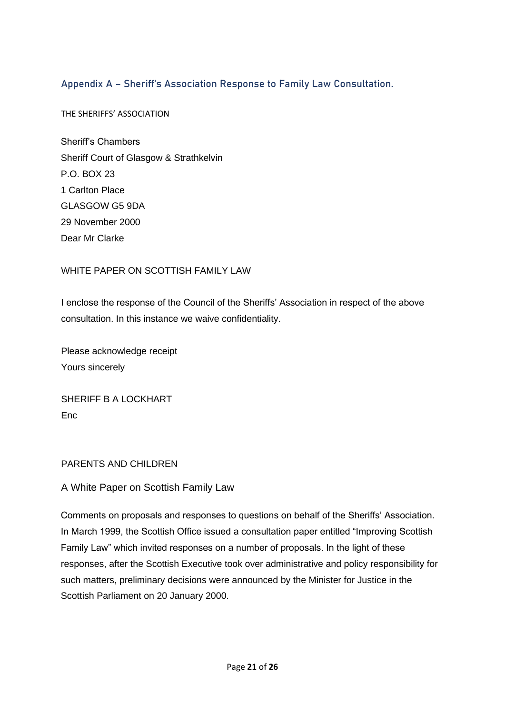## <span id="page-20-0"></span>**Appendix A – Sheriff's Association Response to Family Law Consultation.**

THE SHERIFFS' ASSOCIATION

Sheriff's Chambers Sheriff Court of Glasgow & Strathkelvin P.O. BOX 23 1 Carlton Place GLASGOW G5 9DA 29 November 2000 Dear Mr Clarke

#### WHITE PAPER ON SCOTTISH FAMILY LAW

I enclose the response of the Council of the Sheriffs' Association in respect of the above consultation. In this instance we waive confidentiality.

Please acknowledge receipt Yours sincerely

SHERIFF B A LOCKHART Enc

#### PARENTS AND CHILDREN

A White Paper on Scottish Family Law

Comments on proposals and responses to questions on behalf of the Sheriffs' Association. In March 1999, the Scottish Office issued a consultation paper entitled "Improving Scottish Family Law" which invited responses on a number of proposals. In the light of these responses, after the Scottish Executive took over administrative and policy responsibility for such matters, preliminary decisions were announced by the Minister for Justice in the Scottish Parliament on 20 January 2000.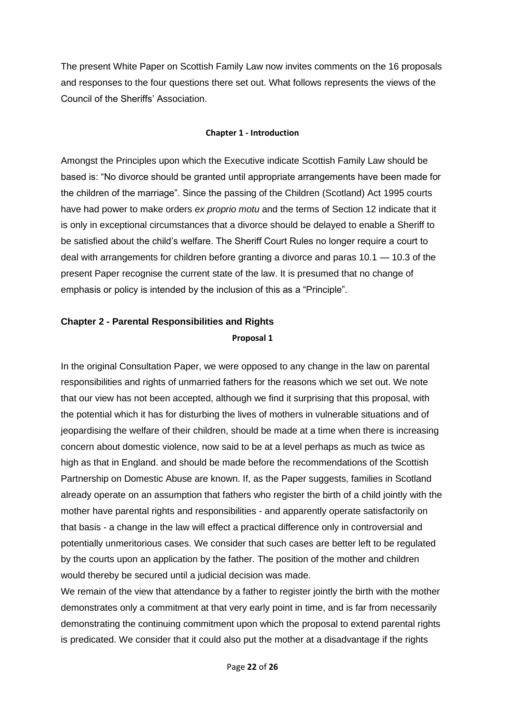The present White Paper on Scottish Family Law now invites comments on the 16 proposals and responses to the four questions there set out. What follows represents the views of the Council of the Sheriffs' Association.

#### **Chapter 1 - Introduction**

Amongst the Principles upon which the Executive indicate Scottish Family Law should be based is: "No divorce should be granted until appropriate arrangements have been made for the children of the marriage". Since the passing of the Children (Scotland) Act 1995 courts have had power to make orders *ex proprio motu* and the terms of Section 12 indicate that it is only in exceptional circumstances that a divorce should be delayed to enable a Sheriff to be satisfied about the child's welfare. The Sheriff Court Rules no longer require a court to deal with arrangements for children before granting a divorce and paras 10.1 — 10.3 of the present Paper recognise the current state of the law. It is presumed that no change of emphasis or policy is intended by the inclusion of this as a "Principle".

# **Chapter 2 - Parental Responsibilities and Rights**

#### **Proposal 1**

In the original Consultation Paper, we were opposed to any change in the law on parental responsibilities and rights of unmarried fathers for the reasons which we set out. We note that our view has not been accepted, although we find it surprising that this proposal, with the potential which it has for disturbing the lives of mothers in vulnerable situations and of jeopardising the welfare of their children, should be made at a time when there is increasing concern about domestic violence, now said to be at a level perhaps as much as twice as high as that in England. and should be made before the recommendations of the Scottish Partnership on Domestic Abuse are known. If, as the Paper suggests, families in Scotland already operate on an assumption that fathers who register the birth of a child jointly with the mother have parental rights and responsibilities - and apparently operate satisfactorily on that basis - a change in the law will effect a practical difference only in controversial and potentially unmeritorious cases. We consider that such cases are better left to be regulated by the courts upon an application by the father. The position of the mother and children would thereby be secured until a judicial decision was made.

We remain of the view that attendance by a father to register jointly the birth with the mother demonstrates only a commitment at that very early point in time, and is far from necessarily demonstrating the continuing commitment upon which the proposal to extend parental rights is predicated. We consider that it could also put the mother at a disadvantage if the rights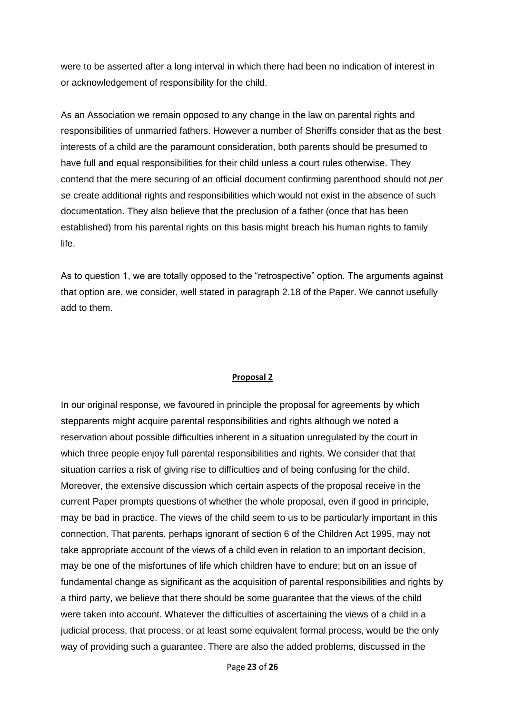were to be asserted after a long interval in which there had been no indication of interest in or acknowledgement of responsibility for the child.

As an Association we remain opposed to any change in the law on parental rights and responsibilities of unmarried fathers. However a number of Sheriffs consider that as the best interests of a child are the paramount consideration, both parents should be presumed to have full and equal responsibilities for their child unless a court rules otherwise. They contend that the mere securing of an official document confirming parenthood should not *per se* create additional rights and responsibilities which would not exist in the absence of such documentation. They also believe that the preclusion of a father (once that has been established) from his parental rights on this basis might breach his human rights to family life.

As to question 1, we are totally opposed to the "retrospective" option. The arguments against that option are, we consider, well stated in paragraph 2.18 of the Paper. We cannot usefully add to them.

#### **Proposal 2**

In our original response, we favoured in principle the proposal for agreements by which stepparents might acquire parental responsibilities and rights although we noted a reservation about possible difficulties inherent in a situation unregulated by the court in which three people enjoy full parental responsibilities and rights. We consider that that situation carries a risk of giving rise to difficulties and of being confusing for the child. Moreover, the extensive discussion which certain aspects of the proposal receive in the current Paper prompts questions of whether the whole proposal, even if good in principle, may be bad in practice. The views of the child seem to us to be particularly important in this connection. That parents, perhaps ignorant of section 6 of the Children Act 1995, may not take appropriate account of the views of a child even in relation to an important decision, may be one of the misfortunes of life which children have to endure; but on an issue of fundamental change as significant as the acquisition of parental responsibilities and rights by a third party, we believe that there should be some guarantee that the views of the child were taken into account. Whatever the difficulties of ascertaining the views of a child in a judicial process, that process, or at least some equivalent formal process, would be the only way of providing such a guarantee. There are also the added problems, discussed in the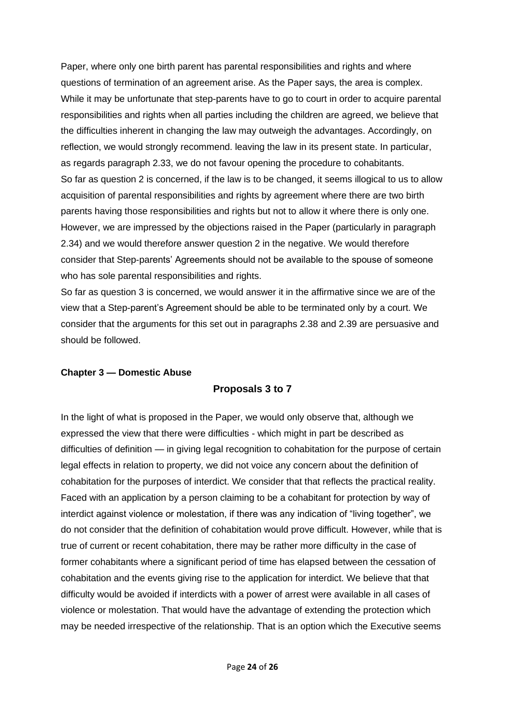Paper, where only one birth parent has parental responsibilities and rights and where questions of termination of an agreement arise. As the Paper says, the area is complex. While it may be unfortunate that step-parents have to go to court in order to acquire parental responsibilities and rights when all parties including the children are agreed, we believe that the difficulties inherent in changing the law may outweigh the advantages. Accordingly, on reflection, we would strongly recommend. leaving the law in its present state. In particular, as regards paragraph 2.33, we do not favour opening the procedure to cohabitants. So far as question 2 is concerned, if the law is to be changed, it seems illogical to us to allow acquisition of parental responsibilities and rights by agreement where there are two birth parents having those responsibilities and rights but not to allow it where there is only one. However, we are impressed by the objections raised in the Paper (particularly in paragraph 2.34) and we would therefore answer question 2 in the negative. We would therefore consider that Step-parents' Agreements should not be available to the spouse of someone who has sole parental responsibilities and rights.

So far as question 3 is concerned, we would answer it in the affirmative since we are of the view that a Step-parent's Agreement should be able to be terminated only by a court. We consider that the arguments for this set out in paragraphs 2.38 and 2.39 are persuasive and should be followed.

#### **Chapter 3 — Domestic Abuse**

#### **Proposals 3 to 7**

In the light of what is proposed in the Paper, we would only observe that, although we expressed the view that there were difficulties - which might in part be described as difficulties of definition — in giving legal recognition to cohabitation for the purpose of certain legal effects in relation to property, we did not voice any concern about the definition of cohabitation for the purposes of interdict. We consider that that reflects the practical reality. Faced with an application by a person claiming to be a cohabitant for protection by way of interdict against violence or molestation, if there was any indication of "living together", we do not consider that the definition of cohabitation would prove difficult. However, while that is true of current or recent cohabitation, there may be rather more difficulty in the case of former cohabitants where a significant period of time has elapsed between the cessation of cohabitation and the events giving rise to the application for interdict. We believe that that difficulty would be avoided if interdicts with a power of arrest were available in all cases of violence or molestation. That would have the advantage of extending the protection which may be needed irrespective of the relationship. That is an option which the Executive seems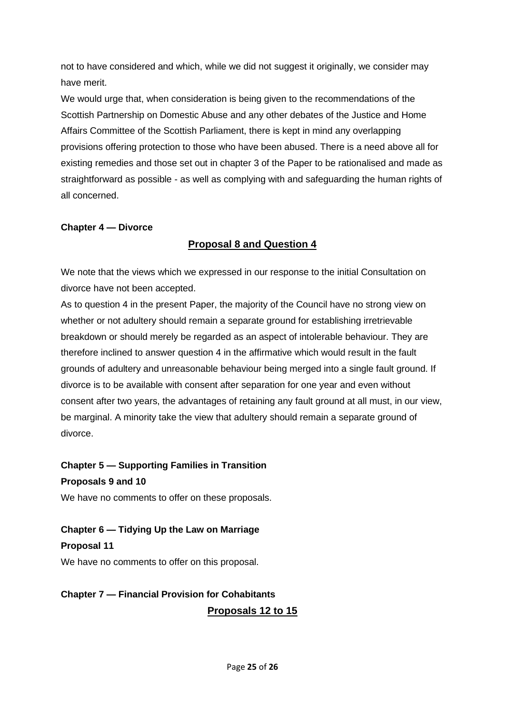not to have considered and which, while we did not suggest it originally, we consider may have merit.

We would urge that, when consideration is being given to the recommendations of the Scottish Partnership on Domestic Abuse and any other debates of the Justice and Home Affairs Committee of the Scottish Parliament, there is kept in mind any overlapping provisions offering protection to those who have been abused. There is a need above all for existing remedies and those set out in chapter 3 of the Paper to be rationalised and made as straightforward as possible - as well as complying with and safeguarding the human rights of all concerned.

#### **Chapter 4 — Divorce**

#### **Proposal 8 and Question 4**

We note that the views which we expressed in our response to the initial Consultation on divorce have not been accepted.

As to question 4 in the present Paper, the majority of the Council have no strong view on whether or not adultery should remain a separate ground for establishing irretrievable breakdown or should merely be regarded as an aspect of intolerable behaviour. They are therefore inclined to answer question 4 in the affirmative which would result in the fault grounds of adultery and unreasonable behaviour being merged into a single fault ground. If divorce is to be available with consent after separation for one year and even without consent after two years, the advantages of retaining any fault ground at all must, in our view, be marginal. A minority take the view that adultery should remain a separate ground of divorce.

**Chapter 5 — Supporting Families in Transition Proposals 9 and 10**

We have no comments to offer on these proposals.

**Chapter 6 — Tidying Up the Law on Marriage**

**Proposal 11**

We have no comments to offer on this proposal.

# **Chapter 7 — Financial Provision for Cohabitants Proposals 12 to 15**